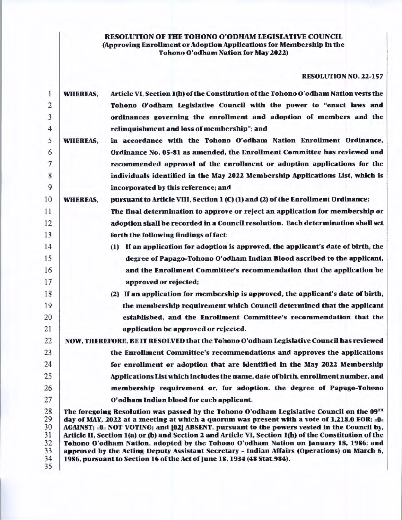# RESOLUTION OF THE TOHONO O'ODHAM LEGISLATIVE COUNCIL (Approving Enrollment or Adoption Applications for Membership in the Tohono O'odham Nation for May 2022)

# RESOLUTION NO. 22-157

| 1              | <b>WHEREAS,</b> | Article VI, Section 1(h) of the Constitution of the Tohono O'odham Nation vests the                                                                                                           |
|----------------|-----------------|-----------------------------------------------------------------------------------------------------------------------------------------------------------------------------------------------|
| $\overline{2}$ |                 | Tohono O'odham Legislative Council with the power to "enact laws and                                                                                                                          |
| 3              |                 | ordinances governing the enrollment and adoption of members and the                                                                                                                           |
| 4              |                 | relinquishment and loss of membership"; and                                                                                                                                                   |
| 5              | <b>WHEREAS,</b> | in accordance with the Tohono O'odham Nation Enrollment Ordinance,                                                                                                                            |
| 6              |                 | Ordinance No. 05-81 as amended, the Enrollment Committee has reviewed and                                                                                                                     |
| $\tau$         |                 | recommended approval of the enrollment or adoption applications for the                                                                                                                       |
| 8              |                 | individuals identified in the May 2022 Membership Applications List, which is                                                                                                                 |
| 9              |                 | incorporated by this reference; and                                                                                                                                                           |
| 10             | <b>WHEREAS,</b> | pursuant to Article VIII, Section 1 (C) (1) and (2) of the Enrollment Ordinance:                                                                                                              |
| 11             |                 | The final determination to approve or reject an application for membership or                                                                                                                 |
| 12             |                 | adoption shall be recorded in a Council resolution. Each determination shall set                                                                                                              |
| 13             |                 | forth the following findings of fact:                                                                                                                                                         |
| 14             |                 | (1) If an application for adoption is approved, the applicant's date of birth, the                                                                                                            |
| 15             |                 | degree of Papago-Tohono O'odham Indian Blood ascribed to the applicant,                                                                                                                       |
| 16             |                 | and the Enrollment Committee's recommendation that the application be                                                                                                                         |
| 17             |                 | approved or rejected;                                                                                                                                                                         |
| 18             |                 | (2) If an application for membership is approved, the applicant's date of birth,                                                                                                              |
| 19             |                 | the membership requirement which Council determined that the applicant                                                                                                                        |
| 20             |                 | established, and the Enrollment Committee's recommendation that the                                                                                                                           |
| 21             |                 | application be approved or rejected.                                                                                                                                                          |
| 22             |                 | NOW, THEREFORE, BE IT RESOLVED that the Tohono O'odham Legislative Council has reviewed                                                                                                       |
| 23             |                 | the Enrollment Committee's recommendations and approves the applications                                                                                                                      |
| 24             |                 | for enrollment or adoption that are identified in the May 2022 Membership                                                                                                                     |
| 25             |                 | Applications List which includes the name, date of birth, enrollment number, and                                                                                                              |
| 26             |                 | membership requirement or, for adoption, the degree of Papago-Tohono                                                                                                                          |
| 27             |                 | O'odham Indian blood for each applicant.                                                                                                                                                      |
| 28             |                 | The foregoing Resolution was passed by the Tohono O'odham Legislative Council on the 09 <sup>TH</sup>                                                                                         |
| 29             |                 | day of MAY, 2022 at a meeting at which a quorum was present with a vote of 3,218.0 FOR; -0-                                                                                                   |
| 30             |                 | AGAINST; -0- NOT VOTING; and [02] ABSENT, pursuant to the powers vested in the Council by,                                                                                                    |
| 31<br>32       |                 | Article II, Section 1(a) or (b) and Section 2 and Article VI, Section 1(h) of the Constitution of the<br>Tohono O'odham Nation, adopted by the Tohono O'odham Nation on January 18, 1986; and |
| 33             |                 | approved by the Acting Deputy Assistant Secretary - Indian Affairs (Operations) on March 6,                                                                                                   |
| 34             |                 | 1986, pursuant to Section 16 of the Act of June 18, 1934 (48 Stat.984).                                                                                                                       |
| 35             |                 |                                                                                                                                                                                               |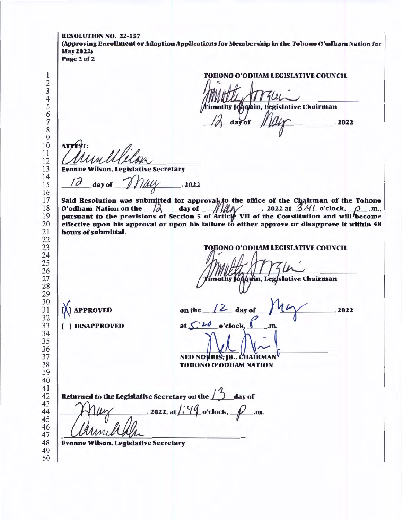RESOLUTION NO. 22-157 (Approving Enrollment or Adoption Applications for Membership in the Tohono O'odham Nation for May 2022) Page 2 of 2 TOHONO O'ODHAM LEGISLATIVE COUNCIL imothy Jogquin, Legislative Chairman  $\frac{1}{7}$  $d$ a $\sqrt{of}$  **ATPE**  Evonne Wilson, Legislative Secretary day of  $\n *2022*$  Said Resolution was submitted for approval to the office of the Chairman of the Tohono O'odham Nation on the  $/2$  day of  $/2/2$ . 2022 at  $3/4/2$  o'clock,  $\rho$ <sub>.</sub>m., pursuant to the provisions of Section 5 of Article VII of the Constitution and will become effective upon his approval or upon his failure to either approve or disapprove it within 48 hours of submittal. TOHONO O'ODHAM LEGISLATIVE COUNCIL imothy Joaqyin, Legislative Chairman on the  $\sqrt{2}$  day of **[X] APPROVED**  ,2022 at  $\leq 20$  o'clock,  $\int$  .m. [ ) DISAPPROVED NED NORRIS, JR., CHAIRMAN ~ TOHONO O'ODHAM NATION to the Legislative Secretary on the  $\Box$  day of Returned , 2022, at  $\frac{1}{4}$  o'clock,  $\beta$  .m. Evonne Wilson, Legislative Secretary